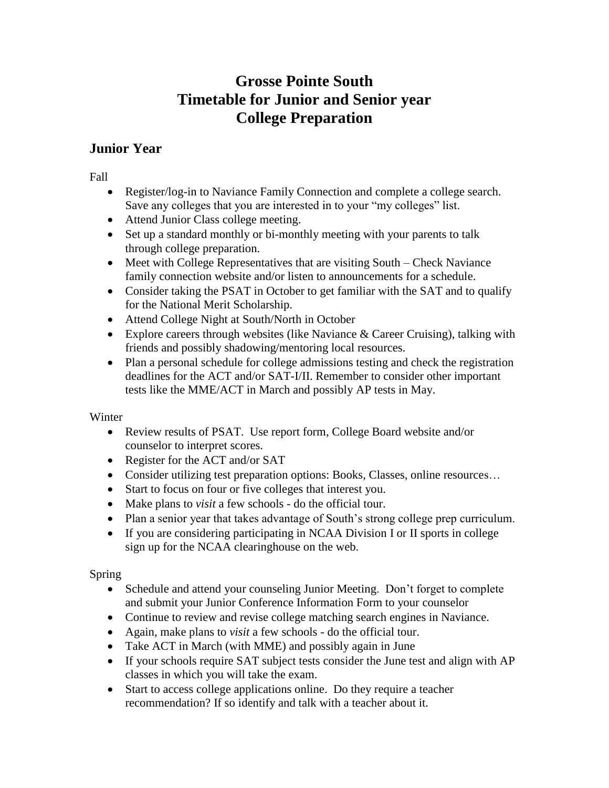# **Grosse Pointe South Timetable for Junior and Senior year College Preparation**

## **Junior Year**

Fall

- Register/log-in to Naviance Family Connection and complete a college search. Save any colleges that you are interested in to your "my colleges" list.
- Attend Junior Class college meeting.
- Set up a standard monthly or bi-monthly meeting with your parents to talk through college preparation.
- $\bullet$  Meet with College Representatives that are visiting South Check Naviance family connection website and/or listen to announcements for a schedule.
- Consider taking the PSAT in October to get familiar with the SAT and to qualify for the National Merit Scholarship.
- Attend College Night at South/North in October
- Explore careers through websites (like Naviance  $&$  Career Cruising), talking with friends and possibly shadowing/mentoring local resources.
- Plan a personal schedule for college admissions testing and check the registration deadlines for the ACT and/or SAT-I/II. Remember to consider other important tests like the MME/ACT in March and possibly AP tests in May.

#### Winter

- Review results of PSAT. Use report form, College Board website and/or counselor to interpret scores.
- Register for the ACT and/or SAT
- Consider utilizing test preparation options: Books, Classes, online resources…
- Start to focus on four or five colleges that interest you.
- Make plans to *visit* a few schools do the official tour.
- Plan a senior year that takes advantage of South's strong college prep curriculum.
- If you are considering participating in NCAA Division I or II sports in college sign up for the NCAA clearinghouse on the web.

#### Spring

- Schedule and attend your counseling Junior Meeting. Don't forget to complete and submit your Junior Conference Information Form to your counselor
- Continue to review and revise college matching search engines in Naviance.
- Again, make plans to *visit* a few schools do the official tour.
- Take ACT in March (with MME) and possibly again in June
- If your schools require SAT subject tests consider the June test and align with AP classes in which you will take the exam.
- Start to access college applications online. Do they require a teacher recommendation? If so identify and talk with a teacher about it.